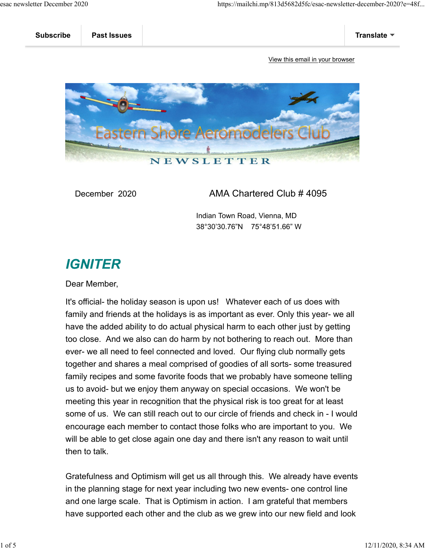

December 2020 AMA Chartered Club # 4095

 Indian Town Road, Vienna, MD 38°30'30.76"N 75°48'51.66" W

## **IGNITER**

Dear Member,

It's official- the holiday season is upon us! Whatever each of us does with family and friends at the holidays is as important as ever. Only this year- we all have the added ability to do actual physical harm to each other just by getting too close. And we also can do harm by not bothering to reach out. More than ever- we all need to feel connected and loved. Our flying club normally gets together and shares a meal comprised of goodies of all sorts- some treasured family recipes and some favorite foods that we probably have someone telling us to avoid- but we enjoy them anyway on special occasions. We won't be meeting this year in recognition that the physical risk is too great for at least some of us. We can still reach out to our circle of friends and check in - I would encourage each member to contact those folks who are important to you. We will be able to get close again one day and there isn't any reason to wait until then to talk.

Gratefulness and Optimism will get us all through this. We already have events in the planning stage for next year including two new events- one control line and one large scale. That is Optimism in action. I am grateful that members have supported each other and the club as we grew into our new field and look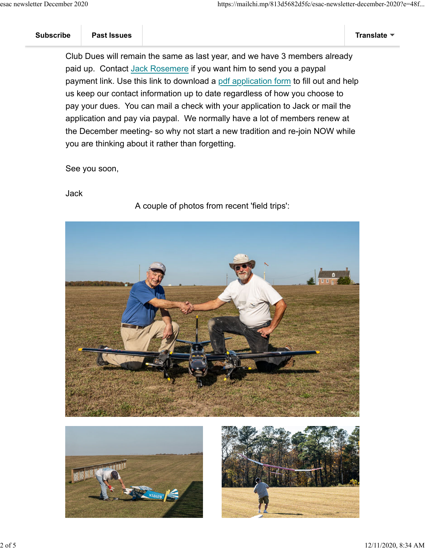Club Dues will remain the same as last year, and we have 3 members already paid up. Contact Jack Rosemere if you want him to send you a paypal payment link. Use this link to download a pdf application form to fill out and help us keep our contact information up to date regardless of how you choose to pay your dues. You can mail a check with your application to Jack or mail the application and pay via paypal. We normally have a lot of members renew at the December meeting- so why not start a new tradition and re-join NOW while you are thinking about it rather than forgetting.

See you soon,

Jack

A couple of photos from recent 'field trips':





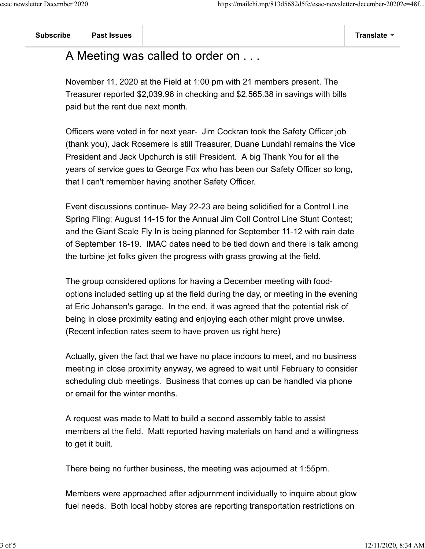## A Meeting was called to order on . . .

November 11, 2020 at the Field at 1:00 pm with 21 members present. The Treasurer reported \$2,039.96 in checking and \$2,565.38 in savings with bills paid but the rent due next month.

Officers were voted in for next year- Jim Cockran took the Safety Officer job (thank you), Jack Rosemere is still Treasurer, Duane Lundahl remains the Vice President and Jack Upchurch is still President. A big Thank You for all the years of service goes to George Fox who has been our Safety Officer so long, that I can't remember having another Safety Officer.

Event discussions continue- May 22-23 are being solidified for a Control Line Spring Fling; August 14-15 for the Annual Jim Coll Control Line Stunt Contest; and the Giant Scale Fly In is being planned for September 11-12 with rain date of September 18-19. IMAC dates need to be tied down and there is talk among the turbine jet folks given the progress with grass growing at the field.

The group considered options for having a December meeting with foodoptions included setting up at the field during the day, or meeting in the evening at Eric Johansen's garage. In the end, it was agreed that the potential risk of being in close proximity eating and enjoying each other might prove unwise. (Recent infection rates seem to have proven us right here)

Actually, given the fact that we have no place indoors to meet, and no business meeting in close proximity anyway, we agreed to wait until February to consider scheduling club meetings. Business that comes up can be handled via phone or email for the winter months.

A request was made to Matt to build a second assembly table to assist members at the field. Matt reported having materials on hand and a willingness to get it built.

There being no further business, the meeting was adjourned at 1:55pm.

Members were approached after adjournment individually to inquire about glow fuel needs. Both local hobby stores are reporting transportation restrictions on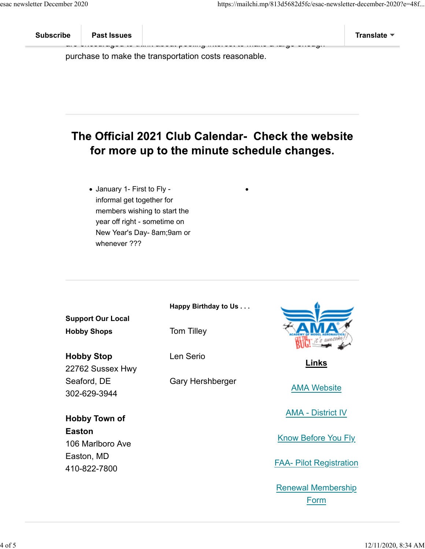purchase to make the transportation costs reasonable.

## The Official 2021 Club Calendar- Check the website for more up to the minute schedule changes.

ark encouraged to think about the think about the make a large enough

January 1- First to Fly informal get together for members wishing to start the year off right - sometime on New Year's Day- 8am;9am or whenever ???

|                                   | Happy Birthday to Us |                                |
|-----------------------------------|----------------------|--------------------------------|
| <b>Support Our Local</b>          |                      |                                |
| <b>Hobby Shops</b>                | Tom Tilley           |                                |
| <b>Hobby Stop</b>                 | Len Serio            |                                |
| 22762 Sussex Hwy                  |                      | Links                          |
| Seaford, DE                       | Gary Hershberger     |                                |
| 302-629-3944                      |                      | <b>AMA Website</b>             |
| <b>Hobby Town of</b>              |                      | <b>AMA - District IV</b>       |
| <b>Easton</b><br>106 Marlboro Ave |                      | Know Before You Fly            |
| Easton, MD<br>410-822-7800        |                      | <b>FAA- Pilot Registration</b> |
|                                   |                      | <b>Renewal Membership</b>      |

Form